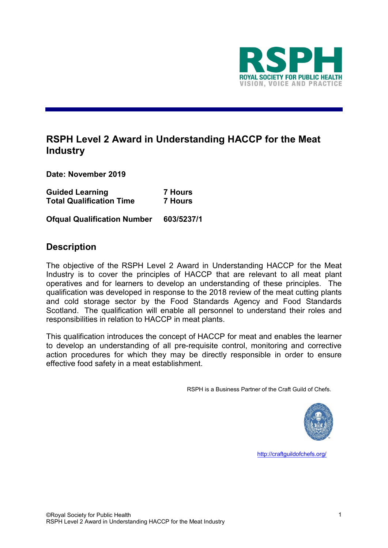

# **RSPH Level 2 Award in Understanding HACCP for the Meat Industry**

**Date: November 2019**

| <b>Guided Learning</b>          | <b>7 Hours</b> |
|---------------------------------|----------------|
| <b>Total Qualification Time</b> | <b>7 Hours</b> |

**Ofqual Qualification Number 603/5237/1**

## **Description**

The objective of the RSPH Level 2 Award in Understanding HACCP for the Meat Industry is to cover the principles of HACCP that are relevant to all meat plant operatives and for learners to develop an understanding of these principles. The qualification was developed in response to the 2018 review of the meat cutting plants and cold storage sector by the Food Standards Agency and Food Standards Scotland. The qualification will enable all personnel to understand their roles and responsibilities in relation to HACCP in meat plants.

This qualification introduces the concept of HACCP for meat and enables the learner to develop an understanding of all pre-requisite control, monitoring and corrective action procedures for which they may be directly responsible in order to ensure effective food safety in a meat establishment.

RSPH is a Business Partner of the Craft Guild of Chefs.



<http://craftguildofchefs.org/>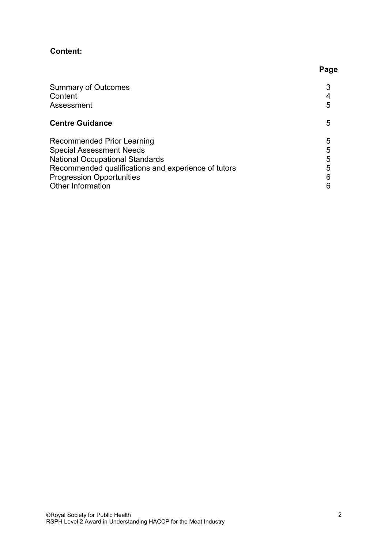# **Content:**

| <b>Summary of Outcomes</b><br>Content<br>Assessment                                                                                                                                                                            | 5                     |
|--------------------------------------------------------------------------------------------------------------------------------------------------------------------------------------------------------------------------------|-----------------------|
| <b>Centre Guidance</b>                                                                                                                                                                                                         | 5                     |
| Recommended Prior Learning<br><b>Special Assessment Needs</b><br><b>National Occupational Standards</b><br>Recommended qualifications and experience of tutors<br><b>Progression Opportunities</b><br><b>Other Information</b> | 5<br>5<br>5<br>5<br>6 |

**Page**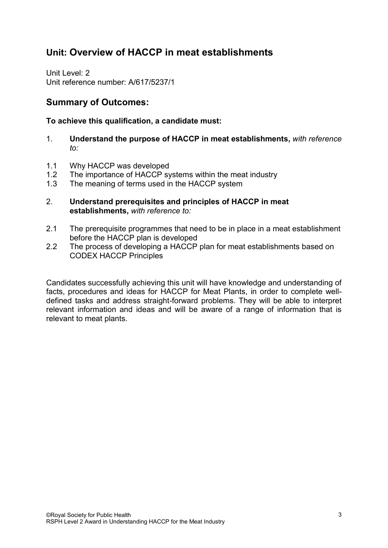# **Unit: Overview of HACCP in meat establishments**

Unit Level: 2 Unit reference number: A/617/5237/1

# **Summary of Outcomes:**

### **To achieve this qualification, a candidate must:**

- 1. **Understand the purpose of HACCP in meat establishments,** *with reference to:*
- 1.1 Why HACCP was developed
- 1.2 The importance of HACCP systems within the meat industry
- 1.3 The meaning of terms used in the HACCP system
- 2. **Understand prerequisites and principles of HACCP in meat establishments,** *with reference to:*
- 2.1 The prerequisite programmes that need to be in place in a meat establishment before the HACCP plan is developed
- 2.2 The process of developing a HACCP plan for meat establishments based on CODEX HACCP Principles

Candidates successfully achieving this unit will have knowledge and understanding of facts, procedures and ideas for HACCP for Meat Plants, in order to complete welldefined tasks and address straight-forward problems. They will be able to interpret relevant information and ideas and will be aware of a range of information that is relevant to meat plants.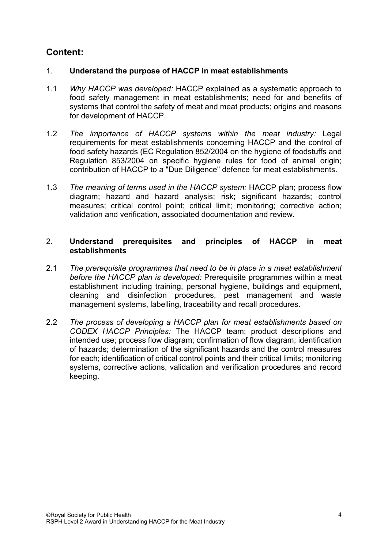# **Content:**

### 1. **Understand the purpose of HACCP in meat establishments**

- 1.1 *Why HACCP was developed:* HACCP explained as a systematic approach to food safety management in meat establishments; need for and benefits of systems that control the safety of meat and meat products; origins and reasons for development of HACCP.
- 1.2 *The importance of HACCP systems within the meat industry:* Legal requirements for meat establishments concerning HACCP and the control of food safety hazards (EC Regulation 852/2004 on the hygiene of foodstuffs and Regulation 853/2004 on specific hygiene rules for food of animal origin; contribution of HACCP to a "Due Diligence" defence for meat establishments.
- 1.3 *The meaning of terms used in the HACCP system:* HACCP plan; process flow diagram; hazard and hazard analysis; risk; significant hazards; control measures; critical control point; critical limit; monitoring; corrective action; validation and verification, associated documentation and review.

### 2. **Understand prerequisites and principles of HACCP in meat establishments**

- 2.1 *The prerequisite programmes that need to be in place in a meat establishment before the HACCP plan is developed:* Prerequisite programmes within a meat establishment including training, personal hygiene, buildings and equipment, cleaning and disinfection procedures, pest management and waste management systems, labelling, traceability and recall procedures.
- 2.2 *The process of developing a HACCP plan for meat establishments based on CODEX HACCP Principles:* The HACCP team; product descriptions and intended use; process flow diagram; confirmation of flow diagram; identification of hazards; determination of the significant hazards and the control measures for each; identification of critical control points and their critical limits; monitoring systems, corrective actions, validation and verification procedures and record keeping.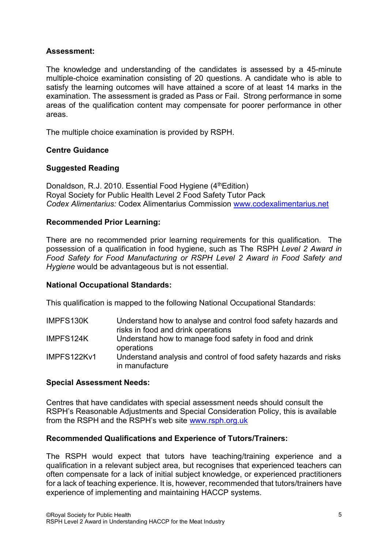### **Assessment:**

The knowledge and understanding of the candidates is assessed by a 45-minute multiple-choice examination consisting of 20 questions. A candidate who is able to satisfy the learning outcomes will have attained a score of at least 14 marks in the examination. The assessment is graded as Pass or Fail. Strong performance in some areas of the qualification content may compensate for poorer performance in other areas.

The multiple choice examination is provided by RSPH.

### **Centre Guidance**

### **Suggested Reading**

Donaldson, R.J. 2010. Essential Food Hygiene (4<sup>th</sup>Edition) Royal Society for Public Health Level 2 Food Safety Tutor Pack *Codex Alimentarius:* Codex Alimentarius Commission [www.codexalimentarius.net](http://www.codexalimentarius.net/)

### **Recommended Prior Learning:**

There are no recommended prior learning requirements for this qualification.The possession of a qualification in food hygiene, such as The RSPH *Level 2 Award in Food Safety for Food Manufacturing or RSPH Level 2 Award in Food Safety and Hygiene* would be advantageous but is not essential.

#### **National Occupational Standards:**

This qualification is mapped to the following National Occupational Standards:

| IMPFS130K   | Understand how to analyse and control food safety hazards and<br>risks in food and drink operations |
|-------------|-----------------------------------------------------------------------------------------------------|
| IMPFS124K   | Understand how to manage food safety in food and drink<br>operations                                |
| IMPFS122Kv1 | Understand analysis and control of food safety hazards and risks<br>in manufacture                  |

#### **Special Assessment Needs:**

Centres that have candidates with special assessment needs should consult the RSPH's Reasonable Adjustments and Special Consideration Policy, this is available from the RSPH and the RSPH's web site [www.rsph.org.uk](http://www.rsph.org.uk/)

#### **Recommended Qualifications and Experience of Tutors/Trainers:**

The RSPH would expect that tutors have teaching/training experience and a qualification in a relevant subject area, but recognises that experienced teachers can often compensate for a lack of initial subject knowledge, or experienced practitioners for a lack of teaching experience. It is, however, recommended that tutors/trainers have experience of implementing and maintaining HACCP systems.